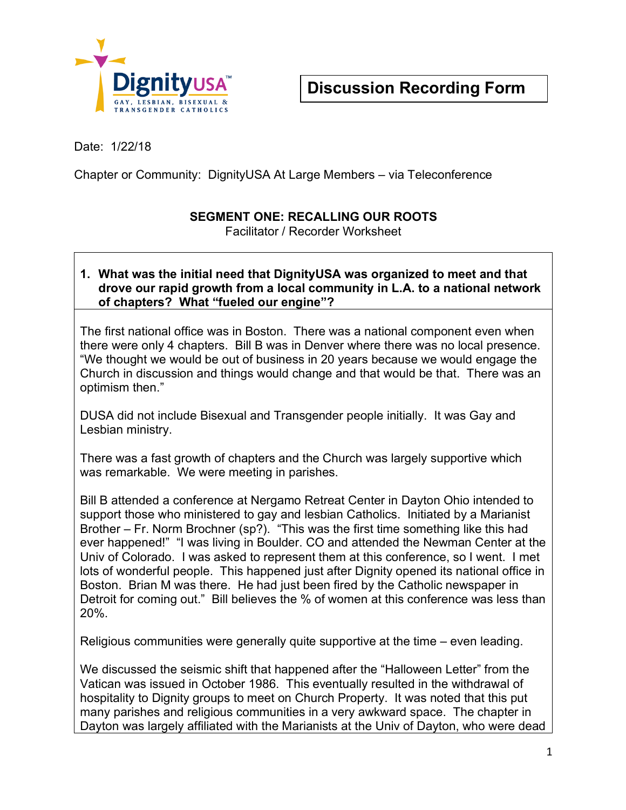

Date: 1/22/18

Chapter or Community: DignityUSA At Large Members – via Teleconference

## **SEGMENT ONE: RECALLING OUR ROOTS**

Facilitator / Recorder Worksheet

## **1. What was the initial need that DignityUSA was organized to meet and that drove our rapid growth from a local community in L.A. to a national network of chapters? What "fueled our engine"?**

The first national office was in Boston. There was a national component even when there were only 4 chapters. Bill B was in Denver where there was no local presence. "We thought we would be out of business in 20 years because we would engage the Church in discussion and things would change and that would be that. There was an optimism then."

DUSA did not include Bisexual and Transgender people initially. It was Gay and Lesbian ministry.

There was a fast growth of chapters and the Church was largely supportive which was remarkable. We were meeting in parishes.

Bill B attended a conference at Nergamo Retreat Center in Dayton Ohio intended to support those who ministered to gay and lesbian Catholics. Initiated by a Marianist Brother – Fr. Norm Brochner (sp?). "This was the first time something like this had ever happened!" "I was living in Boulder. CO and attended the Newman Center at the Univ of Colorado. I was asked to represent them at this conference, so I went. I met lots of wonderful people. This happened just after Dignity opened its national office in Boston. Brian M was there. He had just been fired by the Catholic newspaper in Detroit for coming out." Bill believes the % of women at this conference was less than 20%.

Religious communities were generally quite supportive at the time – even leading.

We discussed the seismic shift that happened after the "Halloween Letter" from the Vatican was issued in October 1986. This eventually resulted in the withdrawal of hospitality to Dignity groups to meet on Church Property. It was noted that this put many parishes and religious communities in a very awkward space. The chapter in Dayton was largely affiliated with the Marianists at the Univ of Dayton, who were dead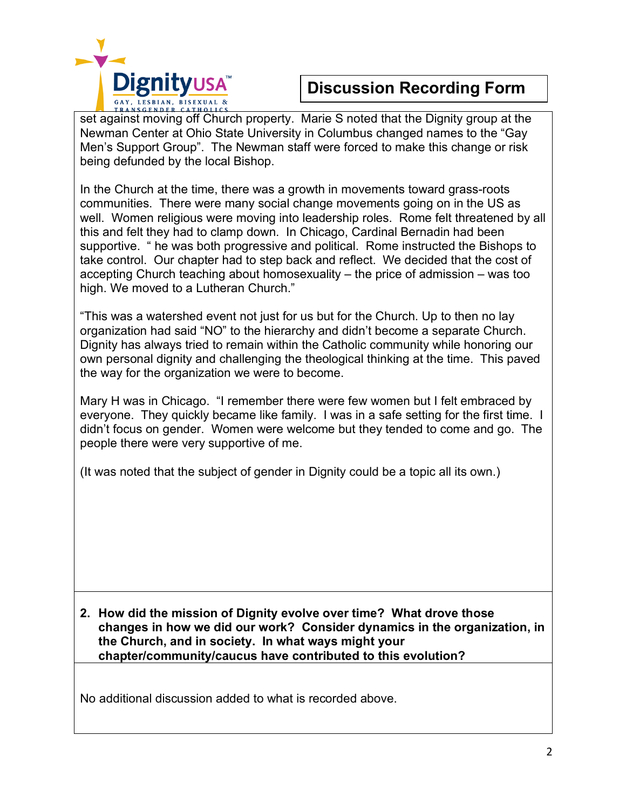

## **Discussion Recording Form**

set against moving off Church property. Marie S noted that the Dignity group at the Newman Center at Ohio State University in Columbus changed names to the "Gay Men's Support Group". The Newman staff were forced to make this change or risk being defunded by the local Bishop.

In the Church at the time, there was a growth in movements toward grass-roots communities. There were many social change movements going on in the US as well. Women religious were moving into leadership roles. Rome felt threatened by all this and felt they had to clamp down. In Chicago, Cardinal Bernadin had been supportive. " he was both progressive and political. Rome instructed the Bishops to take control. Our chapter had to step back and reflect. We decided that the cost of accepting Church teaching about homosexuality – the price of admission – was too high. We moved to a Lutheran Church."

"This was a watershed event not just for us but for the Church. Up to then no lay organization had said "NO" to the hierarchy and didn't become a separate Church. Dignity has always tried to remain within the Catholic community while honoring our own personal dignity and challenging the theological thinking at the time. This paved the way for the organization we were to become.

Mary H was in Chicago. "I remember there were few women but I felt embraced by everyone. They quickly became like family. I was in a safe setting for the first time. I didn't focus on gender. Women were welcome but they tended to come and go. The people there were very supportive of me.

(It was noted that the subject of gender in Dignity could be a topic all its own.)

**2. How did the mission of Dignity evolve over time? What drove those changes in how we did our work? Consider dynamics in the organization, in the Church, and in society. In what ways might your chapter/community/caucus have contributed to this evolution?** 

No additional discussion added to what is recorded above.